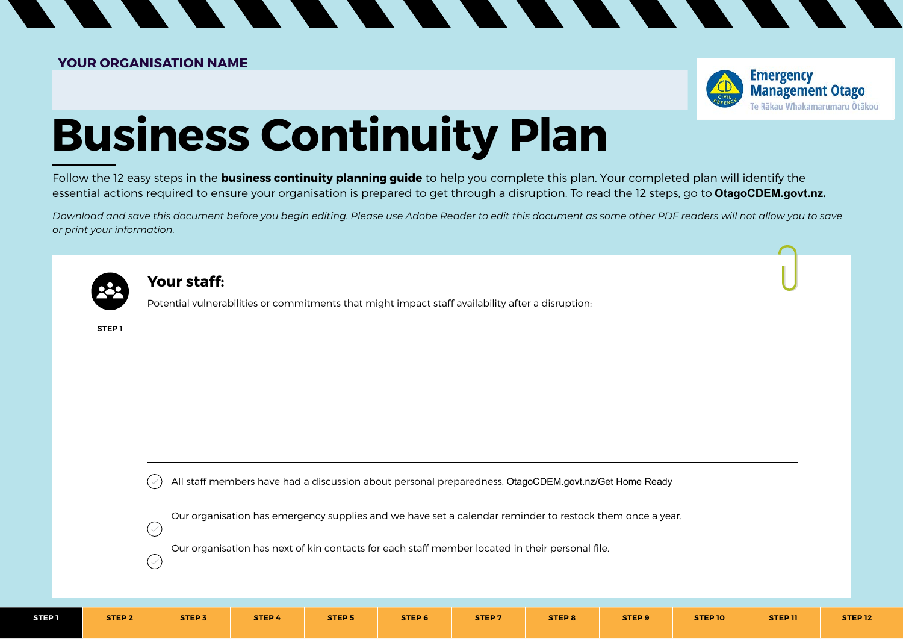

# **Business Continuity Plan**

 $\overline{\phantom{a}}$ 

**STATE** 

Follow the 12 easy steps in the **business continuity planning guide** to help you complete this plan. Your completed plan will identify the essential actions required to ensure your organisation is prepared to get through a disruption. To read the 12 steps, go to **OtagoCDEM.govt.nz.**

*Download and save this document before you begin editing. Please use Adobe Reader to edit this document as some other PDF readers will not allow you to save or print your information.*



#### **Your staff:**

Potential vulnerabilities or commitments that might impact staff availability after a disruption:

**STEP 1**

All staff members have had a discussion about personal preparedness. OtagoCDEM.govt.nz/Get Home Ready

Our organisation has emergency supplies and we have set a calendar reminder to restock them once a year.

Our organisation has next of kin contacts for each staff member located in their personal file.

 $\bigcirc$ 

 $(\vee)$ 

**STEP 1 STEP 2 STEP 3 STEP 4 STEP 5 STEP 6 STEP 7 STEP 8 STEP 9 STEP 10 STEP 11 STEP 12**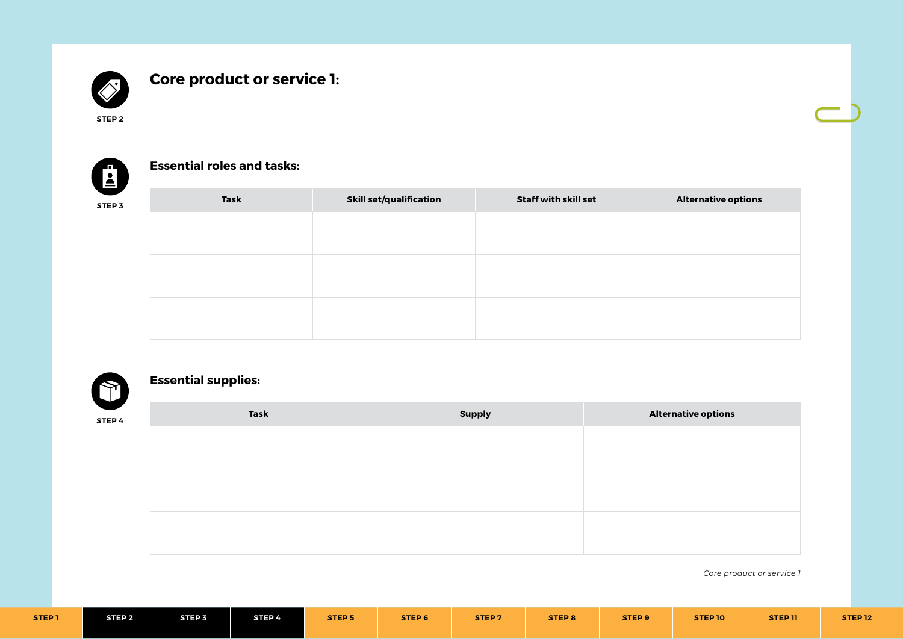

# **Core product or service 1:**

<u> 1980 - Johann Barn, fransk politik (f. 1980)</u>

**STEP 2**



#### **Essential roles and tasks:**

| STEP 3 | Task | <b>Skill set/qualification</b> | <b>Staff with skill set</b> | <b>Alternative options</b> |
|--------|------|--------------------------------|-----------------------------|----------------------------|
|        |      |                                |                             |                            |
|        |      |                                |                             |                            |
|        |      |                                |                             |                            |
|        |      |                                |                             |                            |
|        |      |                                |                             |                            |
|        |      |                                |                             |                            |



# **Essential supplies:**

| STEP 4 | <b>Task</b> | <b>Supply</b> | <b>Alternative options</b> |
|--------|-------------|---------------|----------------------------|
|        |             |               |                            |
|        |             |               |                            |
|        |             |               |                            |
|        |             |               |                            |
|        |             |               |                            |
|        |             |               |                            |

| STEP <sub>1</sub> | STEP <sub>2</sub> | STEP <sub>3</sub> | STEP <sup>4</sup> | <b>STEP 5</b> | STEP 6 | STEP <sub>7</sub> | STEP <sub>8</sub> | STEP <sub>9</sub> | STEP 10 | STEP 11 | <b>STEP 12</b> |
|-------------------|-------------------|-------------------|-------------------|---------------|--------|-------------------|-------------------|-------------------|---------|---------|----------------|
|                   |                   |                   |                   |               |        |                   |                   |                   |         |         |                |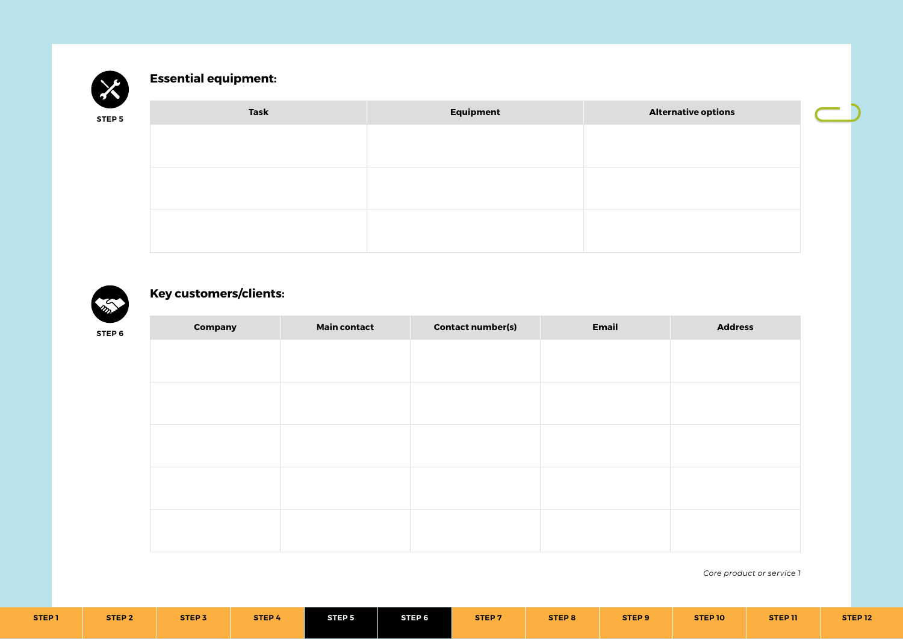

## **Essential equipment:**

| STEP 5 | Task | Equipment | <b>Alternative options</b> |
|--------|------|-----------|----------------------------|
|        |      |           |                            |
|        |      |           |                            |
|        |      |           |                            |
|        |      |           |                            |
|        |      |           |                            |
|        |      |           |                            |



## **Key customers/clients:**

| $\blacksquare$<br><b>STEP 6</b> | Company | <b>Main contact</b> | <b>Contact number(s)</b> | <b>Email</b> | <b>Address</b> |
|---------------------------------|---------|---------------------|--------------------------|--------------|----------------|
|                                 |         |                     |                          |              |                |
|                                 |         |                     |                          |              |                |
|                                 |         |                     |                          |              |                |
|                                 |         |                     |                          |              |                |
|                                 |         |                     |                          |              |                |
|                                 |         |                     |                          |              |                |
|                                 |         |                     |                          |              |                |
|                                 |         |                     |                          |              |                |
|                                 |         |                     |                          |              |                |
|                                 |         |                     |                          |              |                |
|                                 |         |                     |                          |              |                |

| <b>STEP 1</b> | STEP <sub>2</sub> | <b>STEP 3</b> | STEP 4 | <b>STEP 5</b> | STEP 6 | STEP <sub>7</sub> | STEP 8 | STEP <sub>9</sub> | <b>STEP 10</b> | STEP 11 | <b>STEP 12</b> |
|---------------|-------------------|---------------|--------|---------------|--------|-------------------|--------|-------------------|----------------|---------|----------------|
|               |                   |               |        |               |        |                   |        |                   |                |         |                |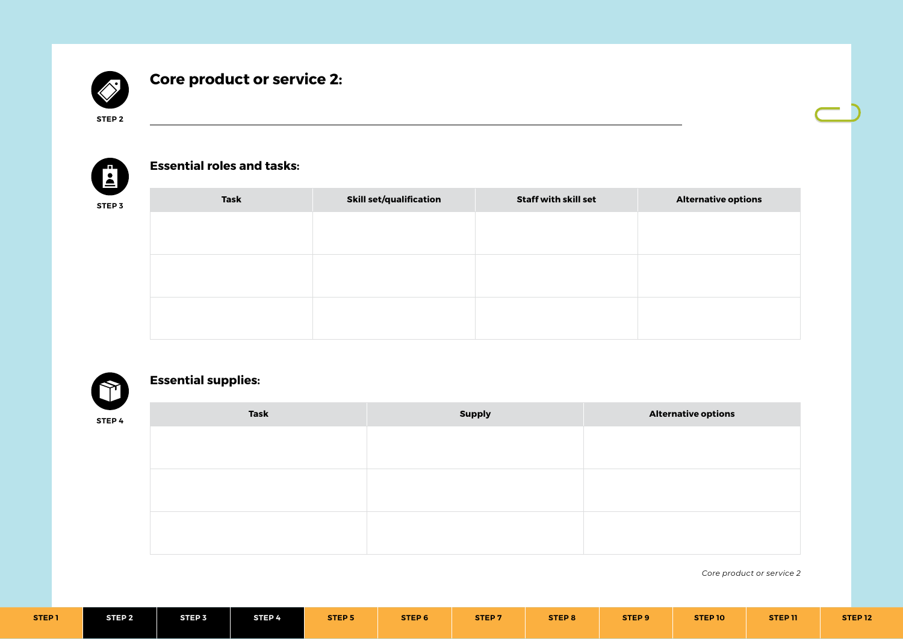

# **Core product or service 2:**

<u> 1980 - Johann Barn, fransk politik (f. 1980)</u>

**STEP 2**



#### **Essential roles and tasks:**

| STEP 3 | <b>Task</b> | <b>Skill set/qualification</b> | <b>Staff with skill set</b> | <b>Alternative options</b> |
|--------|-------------|--------------------------------|-----------------------------|----------------------------|
|        |             |                                |                             |                            |
|        |             |                                |                             |                            |
|        |             |                                |                             |                            |
|        |             |                                |                             |                            |
|        |             |                                |                             |                            |
|        |             |                                |                             |                            |



# **Essential supplies:**

| STEP 4 | <b>Task</b> | <b>Supply</b> | <b>Alternative options</b> |
|--------|-------------|---------------|----------------------------|
|        |             |               |                            |
|        |             |               |                            |
|        |             |               |                            |
|        |             |               |                            |
|        |             |               |                            |
|        |             |               |                            |

| STEP <sub>1</sub> | STEP 2 | STEP <sub>3</sub> | STEP 4 | <b>STEP 5</b> | STEP 6 | STEP <sub>7</sub> | STEP 8 | STEP <sub>9</sub> | STEP 10 | STEP 11 | STEP <sub>12</sub> |
|-------------------|--------|-------------------|--------|---------------|--------|-------------------|--------|-------------------|---------|---------|--------------------|
|                   |        |                   |        |               |        |                   |        |                   |         |         |                    |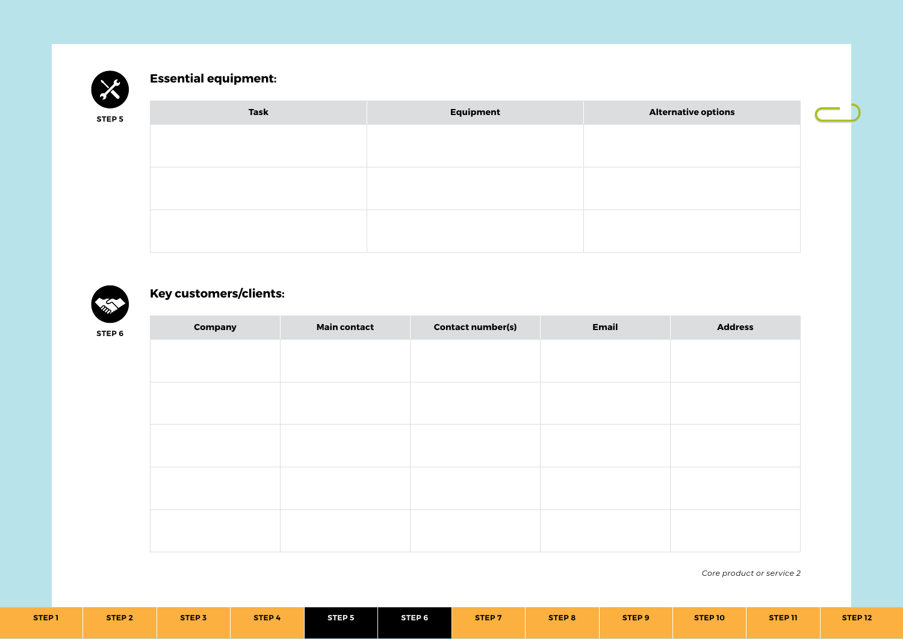

## **Essential equipment:**

| <b>STEP 5</b> | <b>Task</b> | Equipment | <b>Alternative options</b> |
|---------------|-------------|-----------|----------------------------|
|               |             |           |                            |
|               |             |           |                            |
|               |             |           |                            |
|               |             |           |                            |
|               |             |           |                            |
|               |             |           |                            |



## **Key customers/clients:**

| $\overline{\phantom{a}}$<br><b>STEP 6</b> | <b>Company</b> | <b>Main contact</b> | <b>Contact number(s)</b> | Email | <b>Address</b> |
|-------------------------------------------|----------------|---------------------|--------------------------|-------|----------------|
|                                           |                |                     |                          |       |                |
|                                           |                |                     |                          |       |                |
|                                           |                |                     |                          |       |                |
|                                           |                |                     |                          |       |                |
|                                           |                |                     |                          |       |                |
|                                           |                |                     |                          |       |                |
|                                           |                |                     |                          |       |                |
|                                           |                |                     |                          |       |                |
|                                           |                |                     |                          |       |                |
|                                           |                |                     |                          |       |                |

| STEP <sub>1</sub> | <b>STEP 2</b> | STEP <sub>3</sub> | STEP 4 | STEP <sub>5</sub> | STEP 6 | <b>STEP7</b> | STEP 8 | STEP <sub>9</sub> | STEP 10 | <b>STEP 11</b> | STEP <sub>12</sub> |
|-------------------|---------------|-------------------|--------|-------------------|--------|--------------|--------|-------------------|---------|----------------|--------------------|
|-------------------|---------------|-------------------|--------|-------------------|--------|--------------|--------|-------------------|---------|----------------|--------------------|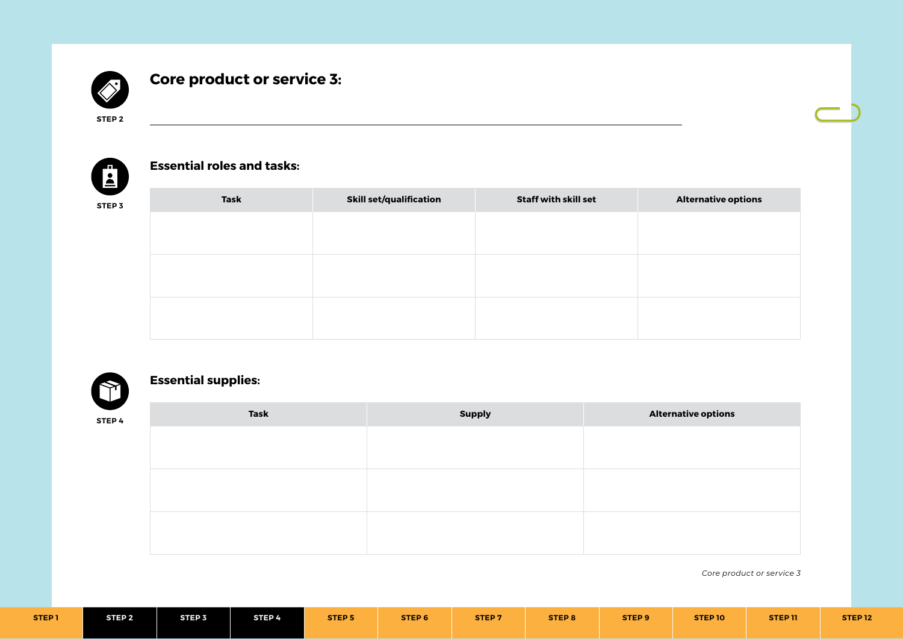

# **Core product or service 3:**

<u> 1980 - Johann Barn, fransk politik (f. 1980)</u>

**STEP 2**



#### **Essential roles and tasks:**

| STEP 3 | Task | <b>Skill set/qualification</b> | <b>Staff with skill set</b> | <b>Alternative options</b> |
|--------|------|--------------------------------|-----------------------------|----------------------------|
|        |      |                                |                             |                            |
|        |      |                                |                             |                            |
|        |      |                                |                             |                            |
|        |      |                                |                             |                            |
|        |      |                                |                             |                            |
|        |      |                                |                             |                            |



# **Essential supplies:**

| STEP 4 | <b>Task</b> | <b>Supply</b> | <b>Alternative options</b> |
|--------|-------------|---------------|----------------------------|
|        |             |               |                            |
|        |             |               |                            |
|        |             |               |                            |
|        |             |               |                            |
|        |             |               |                            |
|        |             |               |                            |

| STEP <sub>1</sub> | STEP 2 | STEP <sub>3</sub> | STEP 4 | <b>STEP 5</b> | STEP 6 | STEP <sub>7</sub> | STEP 8 | STEP <sub>9</sub> | STEP 10 | STEP 11 | STEP <sub>12</sub> |
|-------------------|--------|-------------------|--------|---------------|--------|-------------------|--------|-------------------|---------|---------|--------------------|
|                   |        |                   |        |               |        |                   |        |                   |         |         |                    |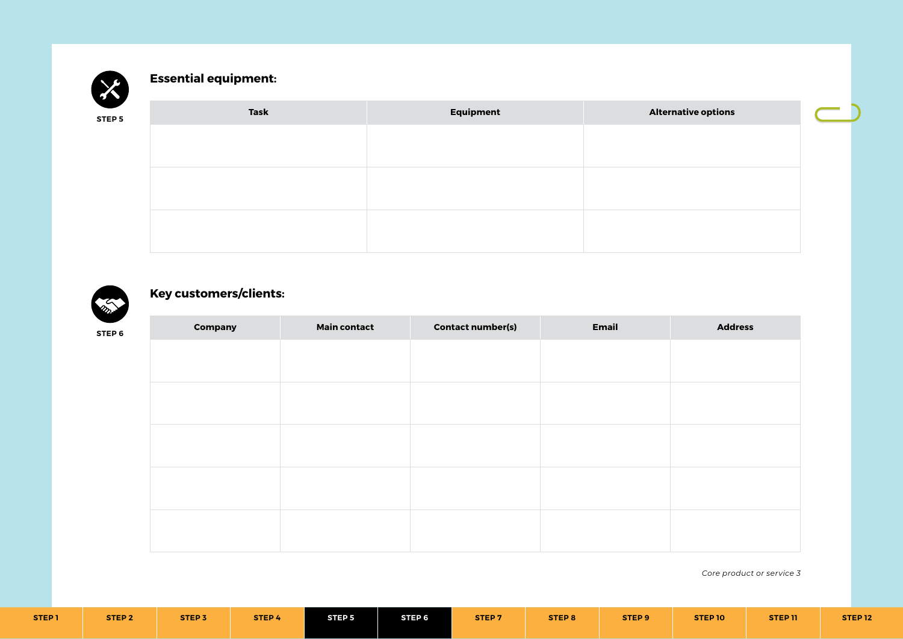

## **Essential equipment:**

| STEP 5 | Task | Equipment | <b>Alternative options</b> |
|--------|------|-----------|----------------------------|
|        |      |           |                            |
|        |      |           |                            |
|        |      |           |                            |
|        |      |           |                            |
|        |      |           |                            |



## **Key customers/clients:**

| $\overline{\phantom{a}}$<br><b>STEP 6</b> | <b>Company</b> | <b>Main contact</b> | <b>Contact number(s)</b> | Email | <b>Address</b> |
|-------------------------------------------|----------------|---------------------|--------------------------|-------|----------------|
|                                           |                |                     |                          |       |                |
|                                           |                |                     |                          |       |                |
|                                           |                |                     |                          |       |                |
|                                           |                |                     |                          |       |                |
|                                           |                |                     |                          |       |                |
|                                           |                |                     |                          |       |                |
|                                           |                |                     |                          |       |                |
|                                           |                |                     |                          |       |                |
|                                           |                |                     |                          |       |                |
|                                           |                |                     |                          |       |                |
|                                           |                |                     |                          |       |                |

| STEP <sub>I</sub> | <b>STEP 2</b> | <b>STEP 3</b> | STEP 4 | <b>STEP 5</b> | STEP 6 | STEP <sub>7</sub> | STEP 8 | STEP <sub>9</sub> | STEP 10 | STEP <sub>11</sub> | <b>STEP 12</b> |
|-------------------|---------------|---------------|--------|---------------|--------|-------------------|--------|-------------------|---------|--------------------|----------------|
|                   |               |               |        |               |        |                   |        |                   |         |                    |                |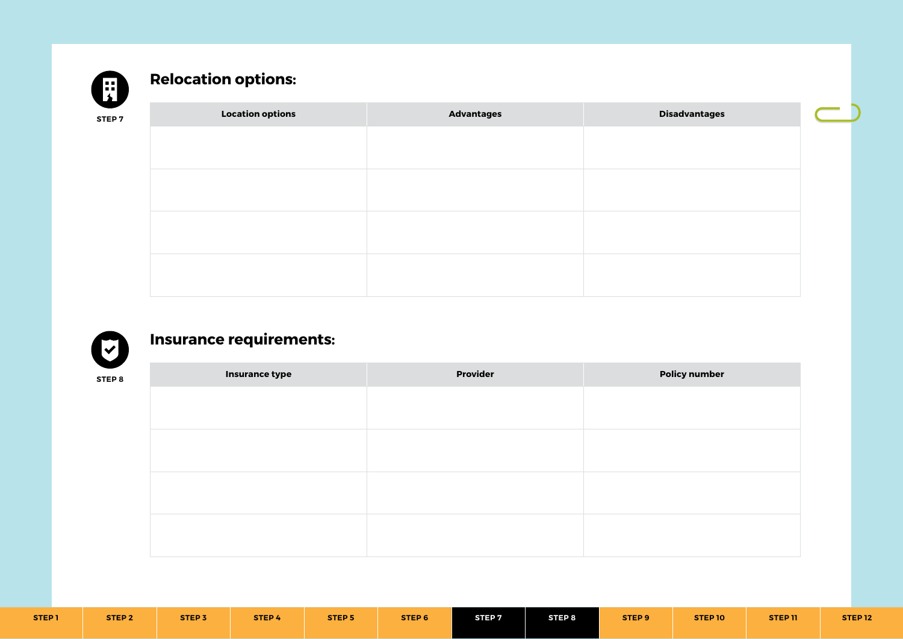

# **Relocation options:**

| I<br>$\sim$ |  |
|-------------|--|
|-------------|--|

| <b>Location options</b> | <b>Advantages</b> | <b>Disadvantages</b> |
|-------------------------|-------------------|----------------------|
|                         |                   |                      |
|                         |                   |                      |
|                         |                   |                      |
|                         |                   |                      |
|                         |                   |                      |
|                         |                   |                      |
|                         |                   |                      |
|                         |                   |                      |



# **Insurance requirements:**

| ╲<br><b>STEP 8</b> | <b>Insurance type</b> | <b>Provider</b> | <b>Policy number</b> |
|--------------------|-----------------------|-----------------|----------------------|
|                    |                       |                 |                      |
|                    |                       |                 |                      |
|                    |                       |                 |                      |
|                    |                       |                 |                      |
|                    |                       |                 |                      |
|                    |                       |                 |                      |
|                    |                       |                 |                      |
|                    |                       |                 |                      |
|                    |                       |                 |                      |

| STEP <sub>7</sub><br>STEP 8<br>STEP 9<br>STEP <sub>1</sub><br>STEP <sub>5</sub><br>STEP 6<br>STEP <sub>2</sub><br>STEP 11<br>STEP <sub>3</sub><br><b>STEP 10</b><br>STEP 4 |
|----------------------------------------------------------------------------------------------------------------------------------------------------------------------------|
|----------------------------------------------------------------------------------------------------------------------------------------------------------------------------|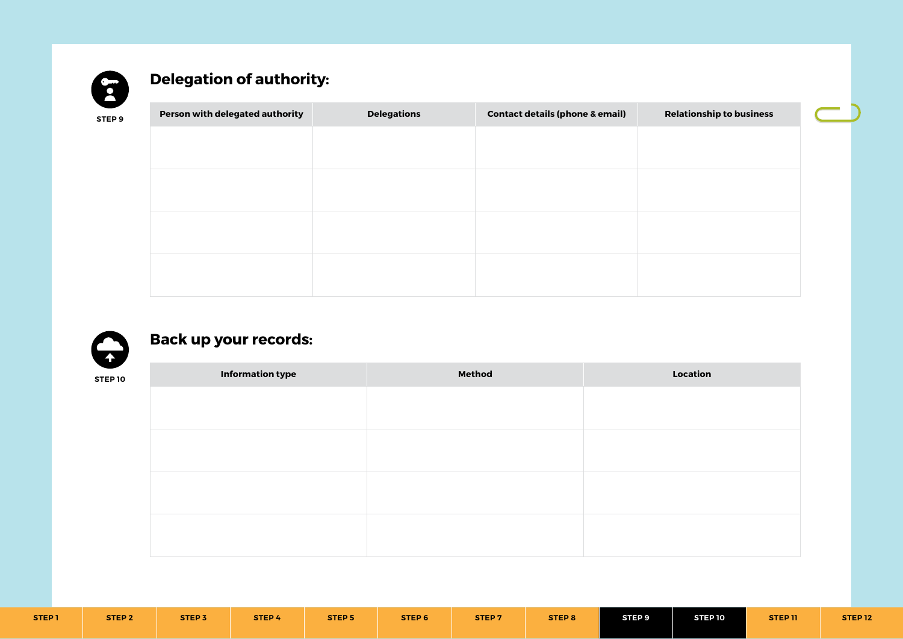

# **Delegation of authority:**

| ∼<br><b>STEP 9</b> | Person with delegated authority | <b>Delegations</b> | <b>Contact details (phone &amp; email)</b> | <b>Relationship to business</b> |
|--------------------|---------------------------------|--------------------|--------------------------------------------|---------------------------------|
|                    |                                 |                    |                                            |                                 |
|                    |                                 |                    |                                            |                                 |
|                    |                                 |                    |                                            |                                 |
|                    |                                 |                    |                                            |                                 |
|                    |                                 |                    |                                            |                                 |
|                    |                                 |                    |                                            |                                 |
|                    |                                 |                    |                                            |                                 |
|                    |                                 |                    |                                            |                                 |



# **Back up your records:**

| <b>Method</b> | Location |
|---------------|----------|
|               |          |
|               |          |
|               |          |
|               |          |
|               |          |
|               |          |
|               |          |
|               |          |
|               |          |

| <b>STEP 1</b> | STEP <sub>2</sub> | <b>STEP3</b> | <b>STEP 4</b> | STEP <sub>5</sub> | STEP 6 | STEP <sub>7</sub> | <b>STEP 8</b> | STEP 9 | STEP 10 | STEP <sub>11</sub> | <b>STEP 12</b> |
|---------------|-------------------|--------------|---------------|-------------------|--------|-------------------|---------------|--------|---------|--------------------|----------------|
|               |                   |              |               |                   |        |                   |               |        |         |                    |                |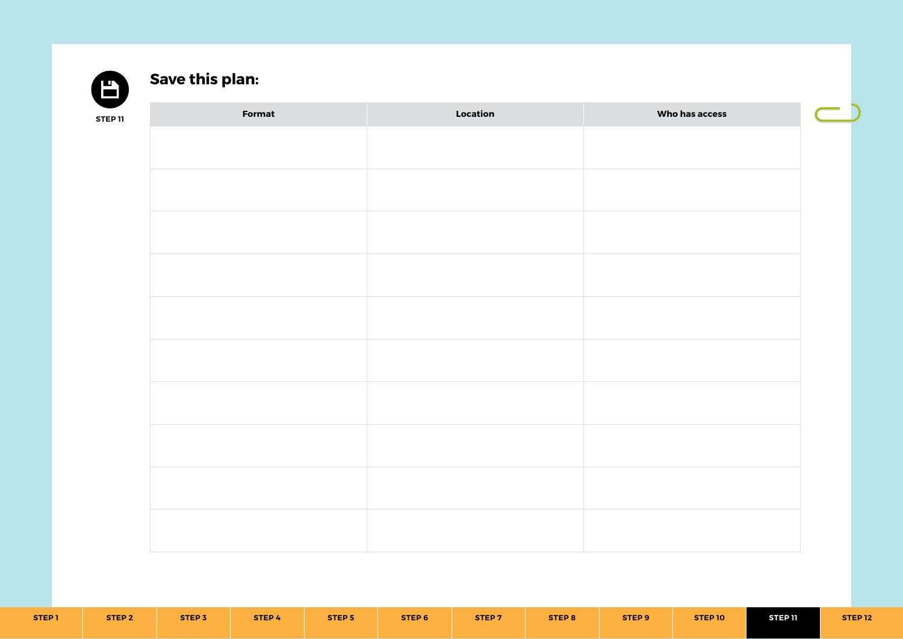

# **Save this plan:**

| <b>STEP 11</b> | Format | Location | Who has access |
|----------------|--------|----------|----------------|
|                |        |          |                |
|                |        |          |                |
|                |        |          |                |
|                |        |          |                |
|                |        |          |                |
|                |        |          |                |
|                |        |          |                |
|                |        |          |                |
|                |        |          |                |
|                |        |          |                |
|                |        |          |                |
|                |        |          |                |
|                |        |          |                |
|                |        |          |                |
|                |        |          |                |
|                |        |          |                |
|                |        |          |                |
|                |        |          |                |

| <b>STEP 1</b> | <b>STEP 2</b> | <b>STEP 3</b> | STEP 4 | <b>STEP 5</b> | STEP 6 | STEP <sub>7</sub> | STEP 8 | STEP <sub>9</sub> | STEP 10 | <b>STEP 11</b> | STEP <sub>12</sub> |
|---------------|---------------|---------------|--------|---------------|--------|-------------------|--------|-------------------|---------|----------------|--------------------|
|               |               |               |        |               |        |                   |        |                   |         |                |                    |